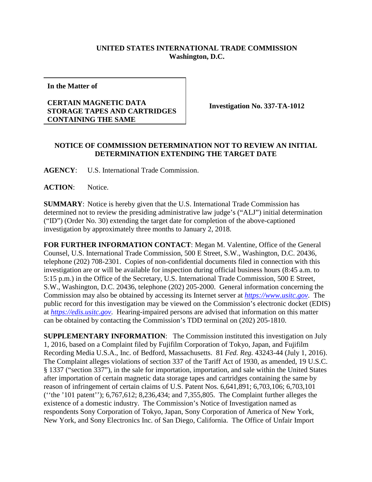## **UNITED STATES INTERNATIONAL TRADE COMMISSION Washington, D.C.**

**In the Matter of**

## **CERTAIN MAGNETIC DATA STORAGE TAPES AND CARTRIDGES CONTAINING THE SAME**

**Investigation No. 337-TA-1012**

## **NOTICE OF COMMISSION DETERMINATION NOT TO REVIEW AN INITIAL DETERMINATION EXTENDING THE TARGET DATE**

**AGENCY**: U.S. International Trade Commission.

ACTION: Notice.

**SUMMARY**: Notice is hereby given that the U.S. International Trade Commission has determined not to review the presiding administrative law judge's ("ALJ") initial determination ("ID") (Order No. 30) extending the target date for completion of the above-captioned investigation by approximately three months to January 2, 2018.

**FOR FURTHER INFORMATION CONTACT**: Megan M. Valentine, Office of the General Counsel, U.S. International Trade Commission, 500 E Street, S.W., Washington, D.C. 20436, telephone (202) 708-2301. Copies of non-confidential documents filed in connection with this investigation are or will be available for inspection during official business hours (8:45 a.m. to 5:15 p.m.) in the Office of the Secretary, U.S. International Trade Commission, 500 E Street, S.W., Washington, D.C. 20436, telephone (202) 205-2000. General information concerning the Commission may also be obtained by accessing its Internet server at *[https://www.usitc.gov](https://www.usitc.gov/)*. The public record for this investigation may be viewed on the Commission's electronic docket (EDIS) at *[https://edis.usitc.gov](https://edis.usitc.gov/)*. Hearing-impaired persons are advised that information on this matter can be obtained by contacting the Commission's TDD terminal on (202) 205-1810.

**SUPPLEMENTARY INFORMATION**: The Commission instituted this investigation on July 1, 2016, based on a Complaint filed by Fujifilm Corporation of Tokyo, Japan, and Fujifilm Recording Media U.S.A., Inc. of Bedford, Massachusetts. 81 *Fed. Reg.* 43243-44 (July 1, 2016). The Complaint alleges violations of section 337 of the Tariff Act of 1930, as amended, 19 U.S.C. § 1337 ("section 337"), in the sale for importation, importation, and sale within the United States after importation of certain magnetic data storage tapes and cartridges containing the same by reason of infringement of certain claims of U.S. Patent Nos. 6,641,891; 6,703,106; 6,703,101 (''the '101 patent''); 6,767,612; 8,236,434; and 7,355,805. The Complaint further alleges the existence of a domestic industry. The Commission's Notice of Investigation named as respondents Sony Corporation of Tokyo, Japan, Sony Corporation of America of New York, New York, and Sony Electronics Inc. of San Diego, California. The Office of Unfair Import